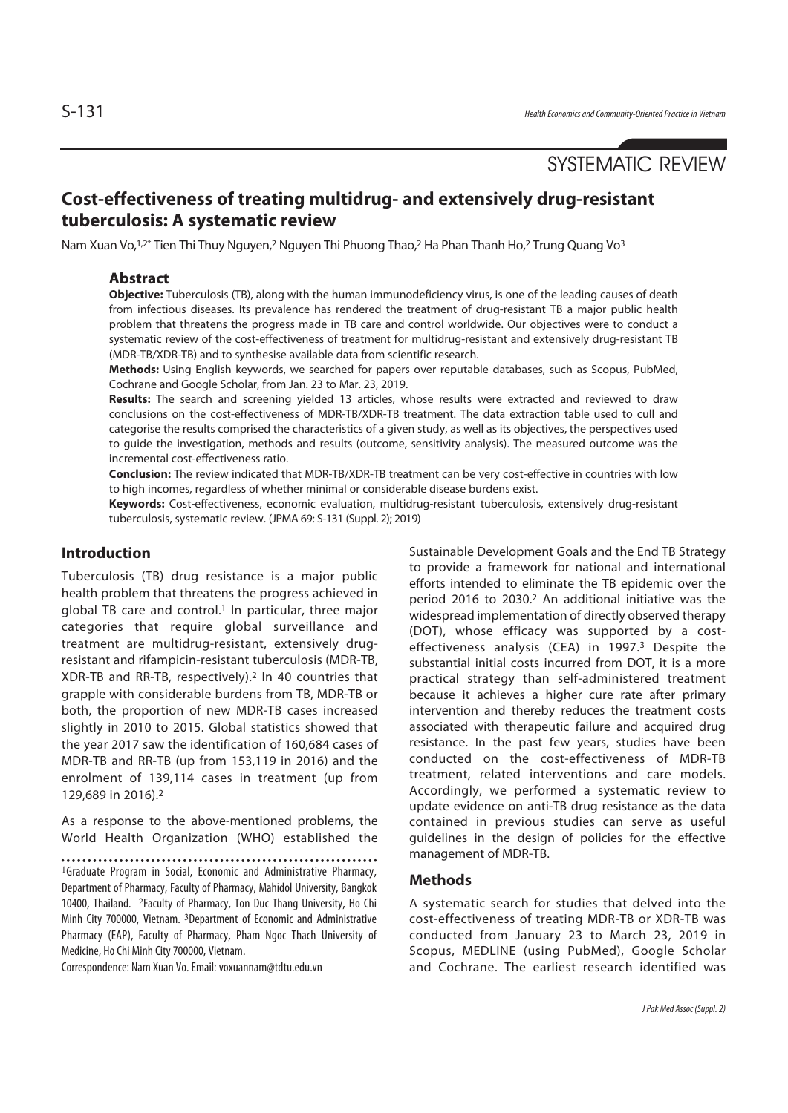# SYSTEMATIC REVIEW

## **Cost-effectiveness of treating multidrug- and extensively drug-resistant tuberculosis: A systematic review**

Nam Xuan Vo,<sup>1,2\*</sup> Tien Thi Thuy Nguyen,<sup>2</sup> Nguyen Thi Phuong Thao,<sup>2</sup> Ha Phan Thanh Ho,<sup>2</sup> Trung Quang Vo<sup>3</sup>

### **Abstract**

**Objective:** Tuberculosis (TB), along with the human immunodeficiency virus, is one of the leading causes of death from infectious diseases. Its prevalence has rendered the treatment of drug-resistant TB a major public health problem that threatens the progress made in TB care and control worldwide. Our objectives were to conduct a systematic review of the cost-effectiveness of treatment for multidrug-resistant and extensively drug-resistant TB (MDR-TB/XDR-TB) and to synthesise available data from scientific research.

**Methods:** Using English keywords, we searched for papers over reputable databases, such as Scopus, PubMed, Cochrane and Google Scholar, from Jan. 23 to Mar. 23, 2019.

**Results:** The search and screening yielded 13 articles, whose results were extracted and reviewed to draw conclusions on the cost-effectiveness of MDR-TB/XDR-TB treatment. The data extraction table used to cull and categorise the results comprised the characteristics of a given study, as well as its objectives, the perspectives used to guide the investigation, methods and results (outcome, sensitivity analysis). The measured outcome was the incremental cost-effectiveness ratio.

**Conclusion:** The review indicated that MDR-TB/XDR-TB treatment can be very cost-effective in countries with low to high incomes, regardless of whether minimal or considerable disease burdens exist.

**Keywords:** Cost-effectiveness, economic evaluation, multidrug-resistant tuberculosis, extensively drug-resistant tuberculosis, systematic review. (JPMA 69: S-131 (Suppl. 2); 2019)

### **Introduction**

Tuberculosis (TB) drug resistance is a major public health problem that threatens the progress achieved in global TB care and control.<sup>1</sup> In particular, three major categories that require global surveillance and treatment are multidrug-resistant, extensively drugresistant and rifampicin-resistant tuberculosis (MDR-TB, XDR-TB and RR-TB, respectively).2 In 40 countries that grapple with considerable burdens from TB, MDR-TB or both, the proportion of new MDR-TB cases increased slightly in 2010 to 2015. Global statistics showed that the year 2017 saw the identification of 160,684 cases of MDR-TB and RR-TB (up from 153,119 in 2016) and the enrolment of 139,114 cases in treatment (up from 129,689 in 2016).2

As a response to the above-mentioned problems, the World Health Organization (WHO) established the

<sup>1</sup>Graduate Program in Social, Economic and Administrative Pharmacy, Department of Pharmacy, Faculty of Pharmacy, Mahidol University, Bangkok 10400, Thailand. <sup>2</sup>Faculty of Pharmacy, Ton Duc Thang University, Ho Chi Minh City 700000, Vietnam. <sup>3</sup>Department of Economic and Administrative Pharmacy (EAP), Faculty of Pharmacy, Pham Ngoc Thach University of Medicine, Ho Chi Minh City 700000, Vietnam.

Correspondence: Nam Xuan Vo. Email: voxuannam@tdtu.edu.vn

Sustainable Development Goals and the End TB Strategy to provide a framework for national and international efforts intended to eliminate the TB epidemic over the period 2016 to 2030.2 An additional initiative was the widespread implementation of directly observed therapy (DOT), whose efficacy was supported by a costeffectiveness analysis (CEA) in 1997.3 Despite the substantial initial costs incurred from DOT, it is a more practical strategy than self-administered treatment because it achieves a higher cure rate after primary intervention and thereby reduces the treatment costs associated with therapeutic failure and acquired drug resistance. In the past few years, studies have been conducted on the cost-effectiveness of MDR-TB treatment, related interventions and care models. Accordingly, we performed a systematic review to update evidence on anti-TB drug resistance as the data contained in previous studies can serve as useful guidelines in the design of policies for the effective management of MDR-TB.

### **Methods**

A systematic search for studies that delved into the cost-effectiveness of treating MDR-TB or XDR-TB was conducted from January 23 to March 23, 2019 in Scopus, MEDLINE (using PubMed), Google Scholar and Cochrane. The earliest research identified was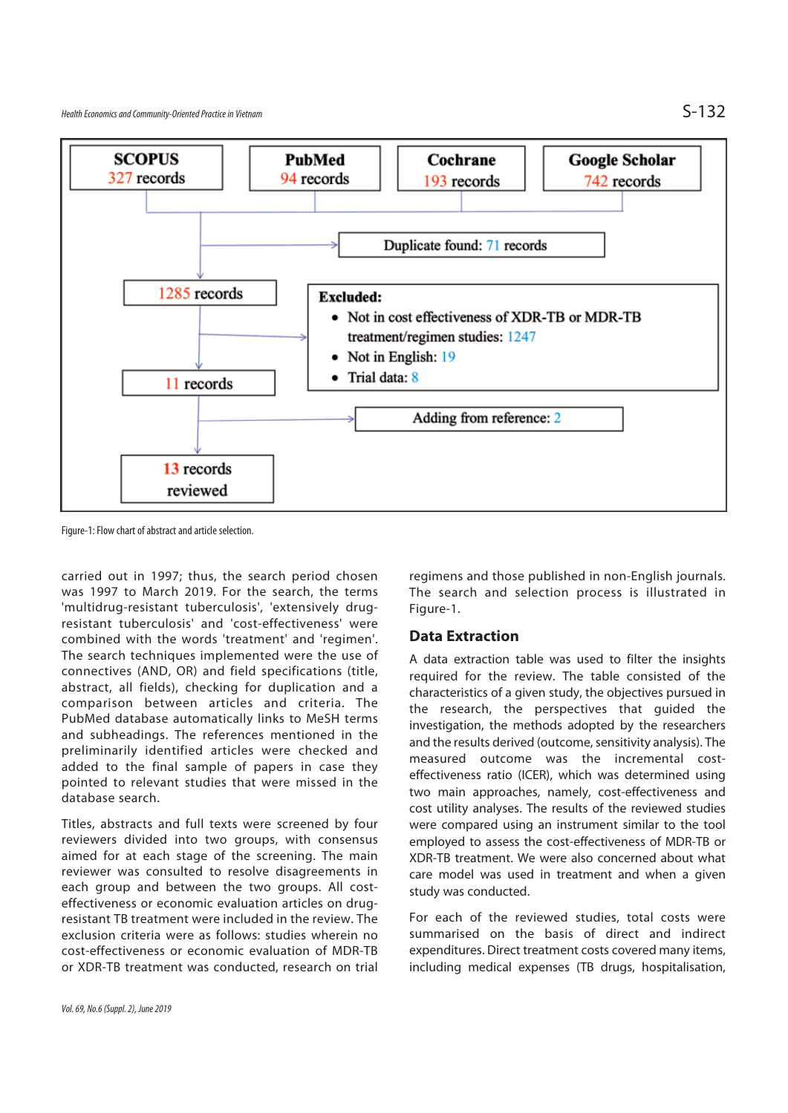

Figure-1: Flow chart of abstract and article selection.

carried out in 1997; thus, the search period chosen was 1997 to March 2019. For the search, the terms 'multidrug-resistant tuberculosis', 'extensively drugresistant tuberculosis' and 'cost-effectiveness' were combined with the words 'treatment' and 'regimen'. The search techniques implemented were the use of connectives (AND, OR) and field specifications (title, abstract, all fields), checking for duplication and a comparison between articles and criteria. The PubMed database automatically links to MeSH terms and subheadings. The references mentioned in the preliminarily identified articles were checked and added to the final sample of papers in case they pointed to relevant studies that were missed in the database search.

Titles, abstracts and full texts were screened by four reviewers divided into two groups, with consensus aimed for at each stage of the screening. The main reviewer was consulted to resolve disagreements in each group and between the two groups. All costeffectiveness or economic evaluation articles on drugresistant TB treatment were included in the review. The exclusion criteria were as follows: studies wherein no cost-effectiveness or economic evaluation of MDR-TB or XDR-TB treatment was conducted, research on trial regimens and those published in non-English journals. The search and selection process is illustrated in Figure-1.

### **Data Extraction**

A data extraction table was used to filter the insights required for the review. The table consisted of the characteristics of a given study, the objectives pursued in the research, the perspectives that guided the investigation, the methods adopted by the researchers and the results derived (outcome, sensitivity analysis). The measured outcome was the incremental costeffectiveness ratio (ICER), which was determined using two main approaches, namely, cost-effectiveness and cost utility analyses. The results of the reviewed studies were compared using an instrument similar to the tool employed to assess the cost-effectiveness of MDR-TB or XDR-TB treatment. We were also concerned about what care model was used in treatment and when a given study was conducted.

For each of the reviewed studies, total costs were summarised on the basis of direct and indirect expenditures. Direct treatment costs covered many items, including medical expenses (TB drugs, hospitalisation,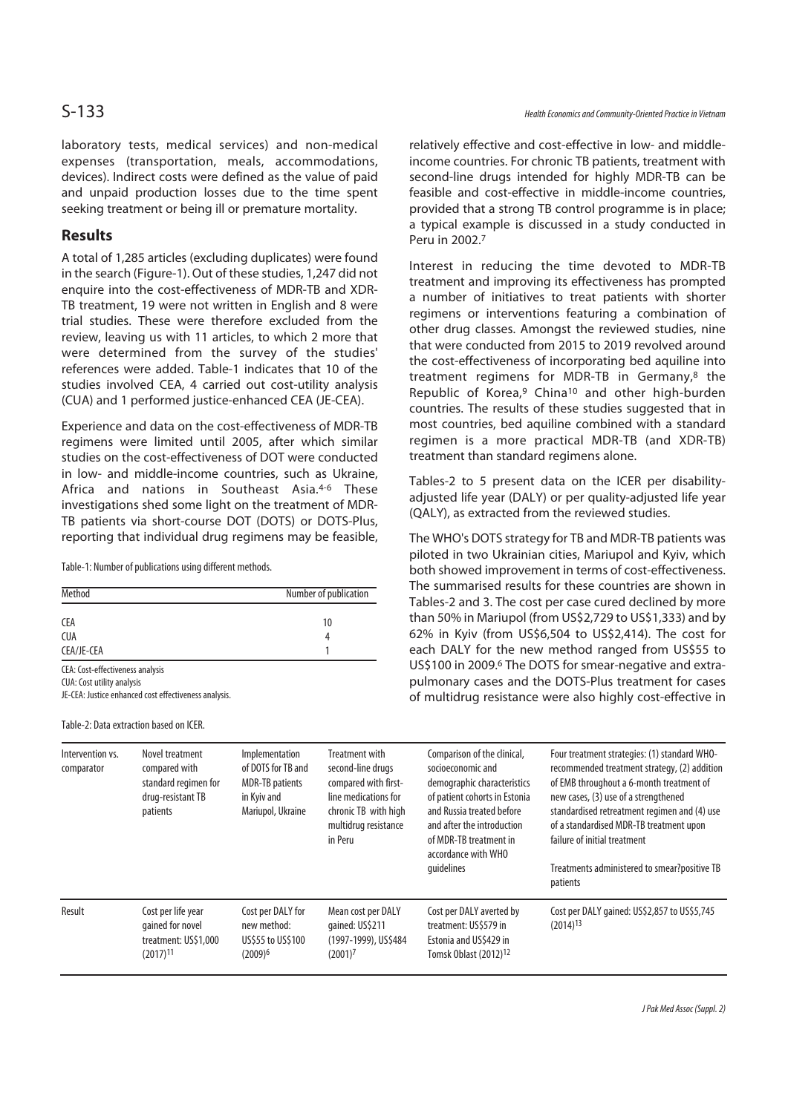### **Results**

A total of 1,285 articles (excluding duplicates) were found in the search (Figure-1). Out of these studies, 1,247 did not enquire into the cost-effectiveness of MDR-TB and XDR-TB treatment, 19 were not written in English and 8 were trial studies. These were therefore excluded from the review, leaving us with 11 articles, to which 2 more that were determined from the survey of the studies' references were added. Table-1 indicates that 10 of the studies involved CEA, 4 carried out cost-utility analysis (CUA) and 1 performed justice-enhanced CEA (JE-CEA).

Experience and data on the cost-effectiveness of MDR-TB regimens were limited until 2005, after which similar studies on the cost-effectiveness of DOT were conducted in low- and middle-income countries, such as Ukraine, Africa and nations in Southeast Asia.4-6 These investigations shed some light on the treatment of MDR-TB patients via short-course DOT (DOTS) or DOTS-Plus, reporting that individual drug regimens may be feasible,

Table-1: Number of publications using different methods.

| Method                           | Number of publication |
|----------------------------------|-----------------------|
| CEA                              | 10                    |
| <b>CUA</b>                       | Д                     |
| CEA/JE-CEA                       |                       |
| CEA: Cost-effectiveness analysis |                       |

CUA: Cost utility analysis

JE-CEA: Justice enhanced cost effectiveness analysis.

Table-2: Data extraction based on ICER.

relatively effective and cost-effective in low- and middleincome countries. For chronic TB patients, treatment with second-line drugs intended for highly MDR-TB can be feasible and cost-effective in middle-income countries, provided that a strong TB control programme is in place; a typical example is discussed in a study conducted in Peru in 2002.7

Interest in reducing the time devoted to MDR-TB treatment and improving its effectiveness has prompted a number of initiatives to treat patients with shorter regimens or interventions featuring a combination of other drug classes. Amongst the reviewed studies, nine that were conducted from 2015 to 2019 revolved around the cost-effectiveness of incorporating bed aquiline into treatment regimens for MDR-TB in Germany, $8$  the Republic of Korea,<sup>9</sup> China<sup>10</sup> and other high-burden countries. The results of these studies suggested that in most countries, bed aquiline combined with a standard regimen is a more practical MDR-TB (and XDR-TB) treatment than standard regimens alone.

Tables-2 to 5 present data on the ICER per disabilityadjusted life year (DALY) or per quality-adjusted life year (QALY), as extracted from the reviewed studies.

The WHO's DOTS strategy for TB and MDR-TB patients was piloted in two Ukrainian cities, Mariupol and Kyiv, which both showed improvement in terms of cost-effectiveness. The summarised results for these countries are shown in Tables-2 and 3. The cost per case cured declined by more than 50% in Mariupol (from US\$2,729 to US\$1,333) and by 62% in Kyiv (from US\$6,504 to US\$2,414). The cost for each DALY for the new method ranged from US\$55 to US\$100 in 2009.6 The DOTS for smear-negative and extrapulmonary cases and the DOTS-Plus treatment for cases of multidrug resistance were also highly cost-effective in

| Intervention vs.<br>comparator | Novel treatment<br>compared with<br>standard regimen for<br>drug-resistant TB<br>patients | Implementation<br>of DOTS for TB and<br><b>MDR-TB</b> patients<br>in Kyiv and<br>Mariupol, Ukraine | Treatment with<br>second-line drugs<br>compared with first-<br>line medications for<br>chronic TB with high<br>multidrug resistance<br>in Peru | Comparison of the clinical,<br>socioeconomic and<br>demographic characteristics<br>of patient cohorts in Estonia<br>and Russia treated before<br>and after the introduction<br>of MDR-TB treatment in<br>accordance with WHO<br>quidelines | Four treatment strategies: (1) standard WHO-<br>recommended treatment strategy, (2) addition<br>of EMB throughout a 6-month treatment of<br>new cases, (3) use of a strengthened<br>standardised retreatment regimen and (4) use<br>of a standardised MDR-TB treatment upon<br>failure of initial treatment<br>Treatments administered to smear?positive TB<br>patients |
|--------------------------------|-------------------------------------------------------------------------------------------|----------------------------------------------------------------------------------------------------|------------------------------------------------------------------------------------------------------------------------------------------------|--------------------------------------------------------------------------------------------------------------------------------------------------------------------------------------------------------------------------------------------|-------------------------------------------------------------------------------------------------------------------------------------------------------------------------------------------------------------------------------------------------------------------------------------------------------------------------------------------------------------------------|
| Result                         | Cost per life year<br>gained for novel<br>treatment: US\$1,000<br>$(2017)^{11}$           | Cost per DALY for<br>new method:<br>US\$55 to US\$100<br>$(2009)^6$                                | Mean cost per DALY<br>gained: US\$211<br>(1997-1999), US\$484<br>$(2001)^7$                                                                    | Cost per DALY averted by<br>treatment: US\$579 in<br>Estonia and US\$429 in<br>Tomsk Oblast (2012) <sup>12</sup>                                                                                                                           | Cost per DALY gained: US\$2,857 to US\$5,745<br>$(2014)^{13}$                                                                                                                                                                                                                                                                                                           |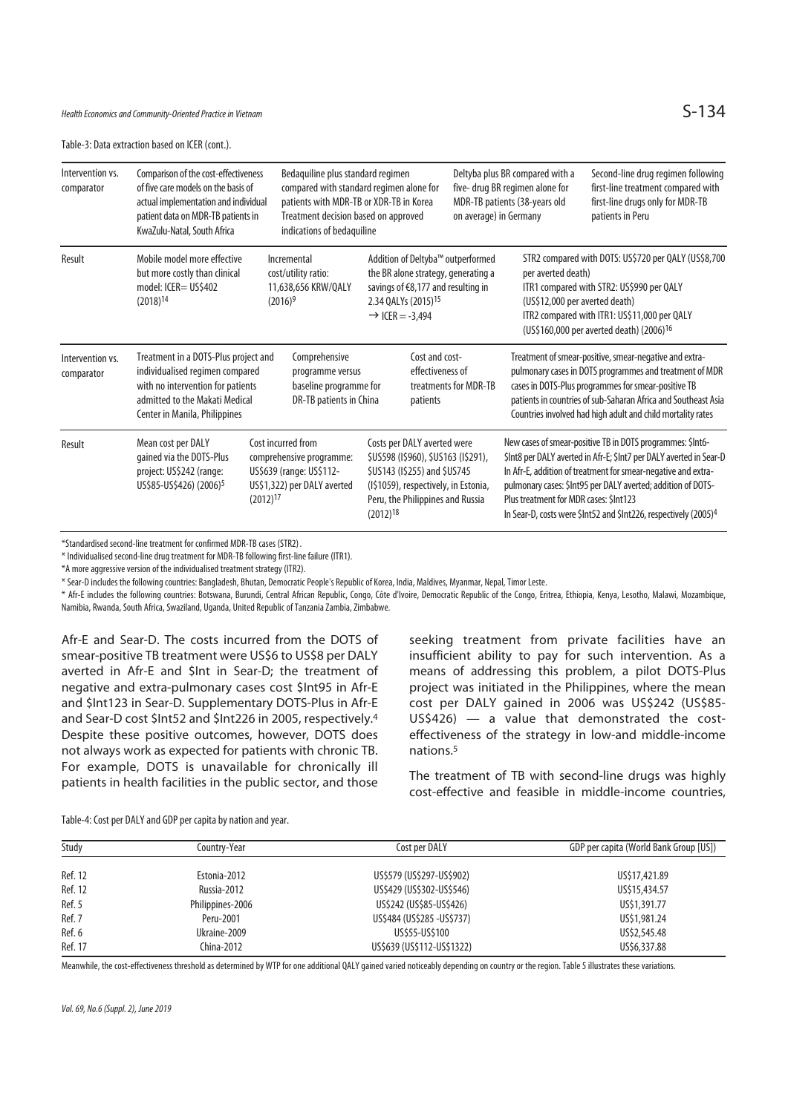Table-3: Data extraction based on ICER (cont.).

| Intervention vs.<br>comparator | Comparison of the cost-effectiveness<br>of five care models on the basis of<br>actual implementation and individual<br>patient data on MDR-TB patients in<br>KwaZulu-Natal, South Africa |                                                                                        | Bedaquiline plus standard regimen<br>compared with standard regimen alone for<br>patients with MDR-TB or XDR-TB in Korea<br>Treatment decision based on approved<br>indications of bedaquiline |                                                                                                                                                         |                                                | on average) in Germany                                                   | Deltyba plus BR compared with a<br>five- drug BR regimen alone for<br>MDR-TB patients (38-years old                                                                                                                                                                                                       | Second-line drug regimen following<br>first-line treatment compared with<br>first-line drugs only for MDR-TB<br>patients in Peru                                                                                                                                                                                                                   |
|--------------------------------|------------------------------------------------------------------------------------------------------------------------------------------------------------------------------------------|----------------------------------------------------------------------------------------|------------------------------------------------------------------------------------------------------------------------------------------------------------------------------------------------|---------------------------------------------------------------------------------------------------------------------------------------------------------|------------------------------------------------|--------------------------------------------------------------------------|-----------------------------------------------------------------------------------------------------------------------------------------------------------------------------------------------------------------------------------------------------------------------------------------------------------|----------------------------------------------------------------------------------------------------------------------------------------------------------------------------------------------------------------------------------------------------------------------------------------------------------------------------------------------------|
| Result                         | Mobile model more effective<br>but more costly than clinical<br>model: ICER= US\$402<br>$(2018)^{14}$                                                                                    |                                                                                        | Incremental<br>cost/utility ratio:<br>11,638,656 KRW/QALY<br>$(2016)^9$                                                                                                                        | savings of €8,177 and resulting in<br>2.34 QALYs (2015) <sup>15</sup><br>$\rightarrow$ ICER = -3,494                                                    |                                                | Addition of Deltyba™ outperformed<br>the BR alone strategy, generating a | per averted death)<br>(US\$12,000 per averted death)                                                                                                                                                                                                                                                      | STR2 compared with DOTS: US\$720 per QALY (US\$8,700<br>ITR1 compared with STR2: US\$990 per QALY<br>ITR2 compared with ITR1: US\$11,000 per QALY<br>(US\$160,000 per averted death) (2006) <sup>16</sup>                                                                                                                                          |
| Intervention vs.<br>comparator | Treatment in a DOTS-Plus project and<br>individualised regimen compared<br>with no intervention for patients<br>admitted to the Makati Medical<br>Center in Manila, Philippines          | Comprehensive<br>programme versus<br>baseline programme for<br>DR-TB patients in China |                                                                                                                                                                                                |                                                                                                                                                         | Cost and cost-<br>effectiveness of<br>patients | treatments for MDR-TB                                                    | Treatment of smear-positive, smear-negative and extra-<br>pulmonary cases in DOTS programmes and treatment of MDR<br>cases in DOTS-Plus programmes for smear-positive TB<br>patients in countries of sub-Saharan Africa and Southeast Asia<br>Countries involved had high adult and child mortality rates |                                                                                                                                                                                                                                                                                                                                                    |
| Result                         | Mean cost per DALY<br>gained via the DOTS-Plus<br>project: US\$242 (range:<br>US\$85-US\$426) (2006) <sup>5</sup>                                                                        | $(2012)$ <sup>17</sup>                                                                 | Cost incurred from<br>comprehensive programme:<br>US\$639 (range: US\$112-<br>US\$1,322) per DALY averted                                                                                      | Costs per DALY averted were<br>\$US598 (I\$960), \$US163 (I\$291),<br>\$US143 (I\$255) and \$US745<br>Peru, the Philippines and Russia<br>$(2012)^{18}$ |                                                | (I\$1059), respectively, in Estonia,                                     | Plus treatment for MDR cases: \$Int123                                                                                                                                                                                                                                                                    | New cases of smear-positive TB in DOTS programmes: \$Int6-<br>\$Int8 per DALY averted in Afr-E; \$Int7 per DALY averted in Sear-D<br>In Afr-E, addition of treatment for smear-negative and extra-<br>pulmonary cases: \$Int95 per DALY averted; addition of DOTS-<br>In Sear-D, costs were \$Int52 and \$Int226, respectively (2005) <sup>4</sup> |

\*Standardised second-line treatment for confirmed MDR-TB cases (STR2) .

\* Individualised second-line drug treatment for MDR-TB following first-line failure (ITR1).

\*A more aggressive version of the individualised treatment strategy (ITR2).

\* Sear-D includes the following countries: Bangladesh, Bhutan, Democratic People's Republic of Korea, India, Maldives, Myanmar, Nepal, Timor Leste.

\* Afr-E includes the following countries: Botswana, Burundi, Central African Republic, Congo, Côte d'Ivoire, Democratic Republic of the Congo, Eritrea, Ethiopia, Kenya, Lesotho, Malawi, Mozambique, Namibia, Rwanda, South Africa, Swaziland, Uganda, United Republic of Tanzania Zambia, Zimbabwe.

Afr-E and Sear-D. The costs incurred from the DOTS of smear-positive TB treatment were US\$6 to US\$8 per DALY averted in Afr-E and \$Int in Sear-D; the treatment of negative and extra-pulmonary cases cost \$Int95 in Afr-E and \$Int123 in Sear-D. Supplementary DOTS-Plus in Afr-E and Sear-D cost \$Int52 and \$Int226 in 2005, respectively.4 Despite these positive outcomes, however, DOTS does not always work as expected for patients with chronic TB. For example, DOTS is unavailable for chronically ill patients in health facilities in the public sector, and those

seeking treatment from private facilities have an insufficient ability to pay for such intervention. As a means of addressing this problem, a pilot DOTS-Plus project was initiated in the Philippines, where the mean cost per DALY gained in 2006 was US\$242 (US\$85- US\$426) — a value that demonstrated the costeffectiveness of the strategy in low-and middle-income nations.5

The treatment of TB with second-line drugs was highly cost-effective and feasible in middle-income countries,

| Table-4: Cost per DALY and GDP per capita by nation and year. |  |  |
|---------------------------------------------------------------|--|--|
|                                                               |  |  |

| Study   | Country-Year     | Cost per DALY               | GDP per capita (World Bank Group [US]) |
|---------|------------------|-----------------------------|----------------------------------------|
| Ref. 12 | Estonia-2012     | US\$579 (US\$297-US\$902)   | US\$17,421.89                          |
| Ref. 12 | Russia-2012      | US\$429 (US\$302-US\$546)   | US\$15,434.57                          |
| Ref. 5  | Philippines-2006 | US\$242 (US\$85-US\$426)    | US\$1,391.77                           |
| Ref. 7  | Peru-2001        | US\$484 (US\$285 - US\$737) | US\$1,981.24                           |
| Ref. 6  | Ukraine-2009     | US\$55-US\$100              | US\$2,545.48                           |
| Ref. 17 | China-2012       | US\$639 (US\$112-US\$1322)  | US\$6,337.88                           |

Meanwhile, the cost-effectiveness threshold as determined by WTP for one additional QALY gained varied noticeably depending on country or the region. Table 5 illustrates these variations.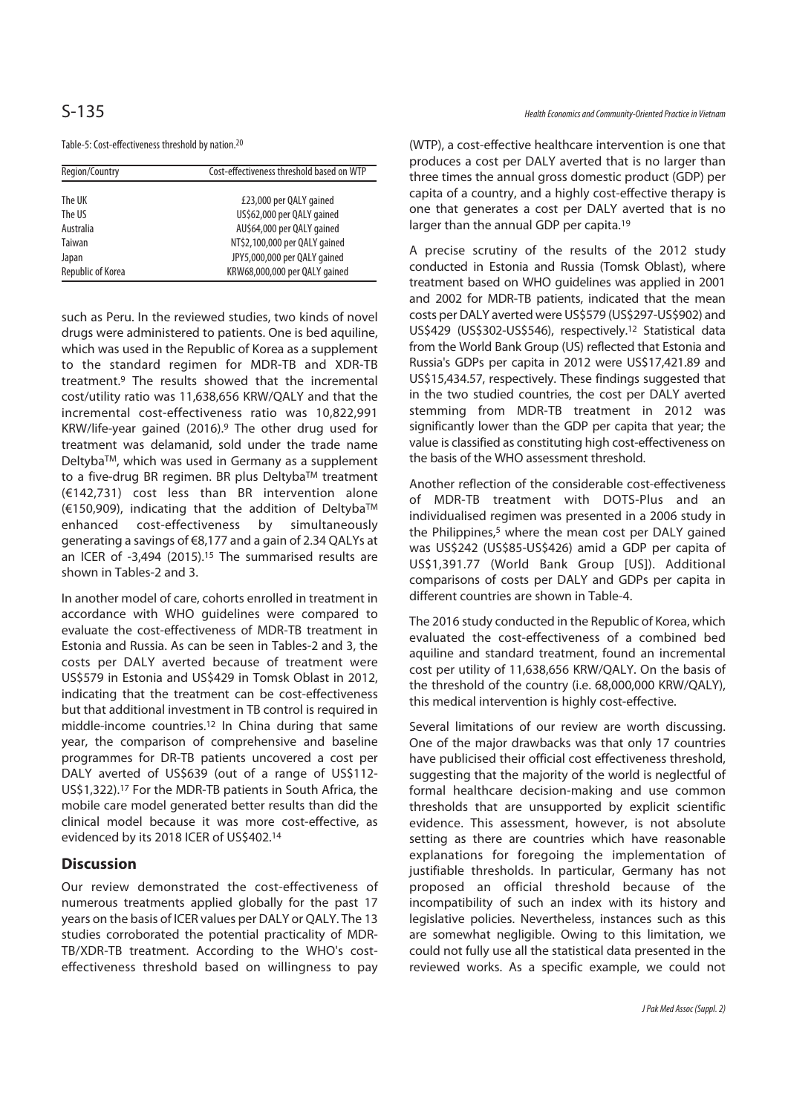### Table-5: Cost-effectiveness threshold by nation.20

| Region/Country    | Cost-effectiveness threshold based on WTP |  |  |
|-------------------|-------------------------------------------|--|--|
|                   |                                           |  |  |
| The UK            | £23,000 per QALY gained                   |  |  |
| The US            | US\$62,000 per QALY gained                |  |  |
| Australia         | AU\$64,000 per QALY gained                |  |  |
| Taiwan            | NT\$2,100,000 per QALY gained             |  |  |
| Japan             | JPY5,000,000 per QALY gained              |  |  |
| Republic of Korea | KRW68,000,000 per QALY gained             |  |  |

such as Peru. In the reviewed studies, two kinds of novel drugs were administered to patients. One is bed aquiline, which was used in the Republic of Korea as a supplement to the standard regimen for MDR-TB and XDR-TB treatment.9 The results showed that the incremental cost/utility ratio was 11,638,656 KRW/QALY and that the incremental cost-effectiveness ratio was 10,822,991 KRW/life-year gained (2016).9 The other drug used for treatment was delamanid, sold under the trade name DeltybaTM, which was used in Germany as a supplement to a five-drug BR regimen. BR plus Deltyba™ treatment (€142,731) cost less than BR intervention alone (€150,909), indicating that the addition of DeltybaTM enhanced cost-effectiveness by simultaneously generating a savings of €8,177 and a gain of 2.34 QALYs at an ICER of -3,494 (2015).15 The summarised results are shown in Tables-2 and 3.

In another model of care, cohorts enrolled in treatment in accordance with WHO guidelines were compared to evaluate the cost-effectiveness of MDR-TB treatment in Estonia and Russia. As can be seen in Tables-2 and 3, the costs per DALY averted because of treatment were US\$579 in Estonia and US\$429 in Tomsk Oblast in 2012, indicating that the treatment can be cost-effectiveness but that additional investment in TB control is required in middle-income countries.12 In China during that same year, the comparison of comprehensive and baseline programmes for DR-TB patients uncovered a cost per DALY averted of US\$639 (out of a range of US\$112- US\$1,322).17 For the MDR-TB patients in South Africa, the mobile care model generated better results than did the clinical model because it was more cost-effective, as evidenced by its 2018 ICER of US\$402.14

### **Discussion**

Our review demonstrated the cost-effectiveness of numerous treatments applied globally for the past 17 years on the basis of ICER values per DALY or QALY. The 13 studies corroborated the potential practicality of MDR-TB/XDR-TB treatment. According to the WHO's costeffectiveness threshold based on willingness to pay

(WTP), a cost-effective healthcare intervention is one that produces a cost per DALY averted that is no larger than three times the annual gross domestic product (GDP) per capita of a country, and a highly cost-effective therapy is one that generates a cost per DALY averted that is no larger than the annual GDP per capita.<sup>19</sup>

A precise scrutiny of the results of the 2012 study conducted in Estonia and Russia (Tomsk Oblast), where treatment based on WHO guidelines was applied in 2001 and 2002 for MDR-TB patients, indicated that the mean costs per DALY averted were US\$579 (US\$297-US\$902) and US\$429 (US\$302-US\$546), respectively.12 Statistical data from the World Bank Group (US) reflected that Estonia and Russia's GDPs per capita in 2012 were US\$17,421.89 and US\$15,434.57, respectively. These findings suggested that in the two studied countries, the cost per DALY averted stemming from MDR-TB treatment in 2012 was significantly lower than the GDP per capita that year; the value is classified as constituting high cost-effectiveness on the basis of the WHO assessment threshold.

Another reflection of the considerable cost-effectiveness of MDR-TB treatment with DOTS-Plus and an individualised regimen was presented in a 2006 study in the Philippines, $5$  where the mean cost per DALY gained was US\$242 (US\$85-US\$426) amid a GDP per capita of US\$1,391.77 (World Bank Group [US]). Additional comparisons of costs per DALY and GDPs per capita in different countries are shown in Table-4.

The 2016 study conducted in the Republic of Korea, which evaluated the cost-effectiveness of a combined bed aquiline and standard treatment, found an incremental cost per utility of 11,638,656 KRW/QALY. On the basis of the threshold of the country (i.e. 68,000,000 KRW/QALY), this medical intervention is highly cost-effective.

Several limitations of our review are worth discussing. One of the major drawbacks was that only 17 countries have publicised their official cost effectiveness threshold, suggesting that the majority of the world is neglectful of formal healthcare decision-making and use common thresholds that are unsupported by explicit scientific evidence. This assessment, however, is not absolute setting as there are countries which have reasonable explanations for foregoing the implementation of justifiable thresholds. In particular, Germany has not proposed an official threshold because of the incompatibility of such an index with its history and legislative policies. Nevertheless, instances such as this are somewhat negligible. Owing to this limitation, we could not fully use all the statistical data presented in the reviewed works. As a specific example, we could not